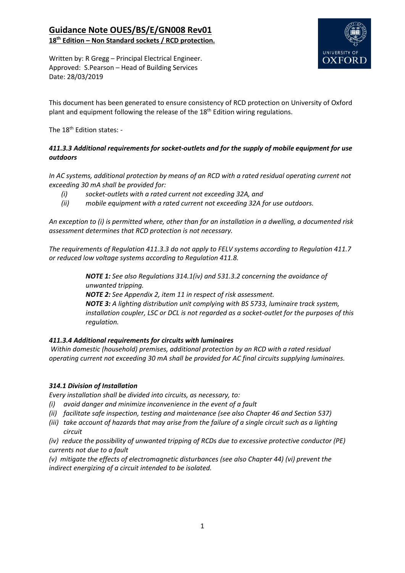

Written by: R Gregg – Principal Electrical Engineer. Approved: S.Pearson – Head of Building Services Date: 28/03/2019

This document has been generated to ensure consistency of RCD protection on University of Oxford plant and equipment following the release of the  $18<sup>th</sup>$  Edition wiring regulations.

The 18<sup>th</sup> Edition states: -

## *411.3.3 Additional requirements for socket-outlets and for the supply of mobile equipment for use outdoors*

*In AC systems, additional protection by means of an RCD with a rated residual operating current not exceeding 30 mA shall be provided for:* 

- *(i) socket-outlets with a rated current not exceeding 32A, and*
- *(ii) mobile equipment with a rated current not exceeding 32A for use outdoors.*

*An exception to (i) is permitted where, other than for an installation in a dwelling, a documented risk assessment determines that RCD protection is not necessary.* 

*The requirements of Regulation 411.3.3 do not apply to FELV systems according to Regulation 411.7 or reduced low voltage systems according to Regulation 411.8.* 

> *NOTE 1: See also Regulations 314.1(iv) and 531.3.2 concerning the avoidance of unwanted tripping. NOTE 2: See Appendix 2, item 11 in respect of risk assessment. NOTE 3: A lighting distribution unit complying with BS 5733, luminaire track system, installation coupler, LSC or DCL is not regarded as a socket-outlet for the purposes of this regulation.*

## *411.3.4 Additional requirements for circuits with luminaires*

 *Within domestic (household) premises, additional protection by an RCD with a rated residual operating current not exceeding 30 mA shall be provided for AC final circuits supplying luminaires.* 

## *314.1 Division of Installation*

*Every installation shall be divided into circuits, as necessary, to:* 

- *(i) avoid danger and minimize inconvenience in the event of a fault*
- *(ii) facilitate safe inspection, testing and maintenance (see also Chapter 46 and Section 537)*
- *(iii) take account of hazards that may arise from the failure of a single circuit such as a lighting circuit*

*(iv) reduce the possibility of unwanted tripping of RCDs due to excessive protective conductor (PE) currents not due to a fault* 

*(v) mitigate the effects of electromagnetic disturbances (see also Chapter 44) (vi) prevent the indirect energizing of a circuit intended to be isolated.*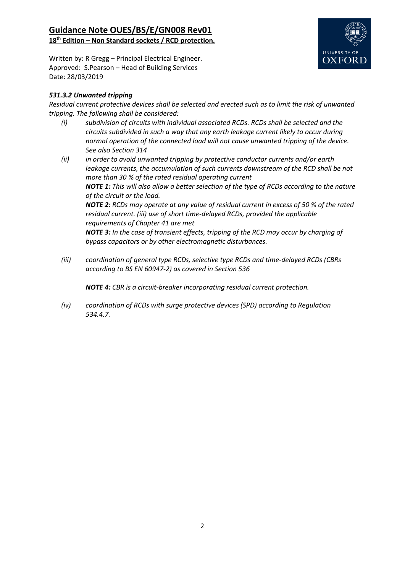

Written by: R Gregg – Principal Electrical Engineer. Approved: S.Pearson – Head of Building Services Date: 28/03/2019

## *531.3.2 Unwanted tripping*

*Residual current protective devices shall be selected and erected such as to limit the risk of unwanted tripping. The following shall be considered:* 

- *(i) subdivision of circuits with individual associated RCDs. RCDs shall be selected and the circuits subdivided in such a way that any earth leakage current likely to occur during normal operation of the connected load will not cause unwanted tripping of the device. See also Section 314*
- *(ii) in order to avoid unwanted tripping by protective conductor currents and/or earth leakage currents, the accumulation of such currents downstream of the RCD shall be not more than 30 % of the rated residual operating current NOTE 1: This will also allow a better selection of the type of RCDs according to the nature of the circuit or the load. NOTE 2: RCDs may operate at any value of residual current in excess of 50 % of the rated residual current. (iii) use of short time-delayed RCDs, provided the applicable requirements of Chapter 41 are met NOTE 3: In the case of transient effects, tripping of the RCD may occur by charging of bypass capacitors or by other electromagnetic disturbances.*
- *(iii) coordination of general type RCDs, selective type RCDs and time-delayed RCDs (CBRs according to BS EN 60947-2) as covered in Section 536*

*NOTE 4: CBR is a circuit-breaker incorporating residual current protection.* 

*(iv) coordination of RCDs with surge protective devices (SPD) according to Regulation 534.4.7.*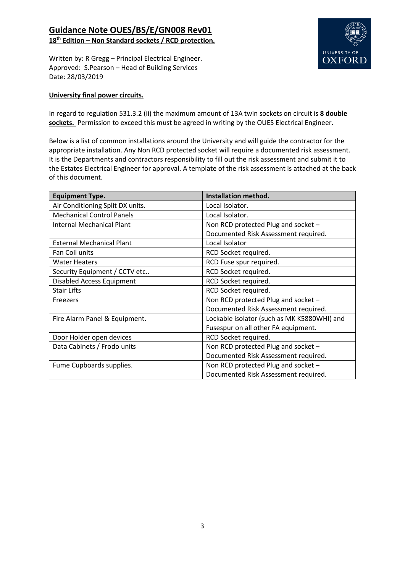

Written by: R Gregg – Principal Electrical Engineer. Approved: S.Pearson – Head of Building Services Date: 28/03/2019

### **University final power circuits.**

In regard to regulation 531.3.2 (ii) the maximum amount of 13A twin sockets on circuit is **8 double sockets.** Permission to exceed this must be agreed in writing by the OUES Electrical Engineer.

Below is a list of common installations around the University and will guide the contractor for the appropriate installation. Any Non RCD protected socket will require a documented risk assessment. It is the Departments and contractors responsibility to fill out the risk assessment and submit it to the Estates Electrical Engineer for approval. A template of the risk assessment is attached at the back of this document.

| <b>Equipment Type.</b>           | Installation method.                        |
|----------------------------------|---------------------------------------------|
| Air Conditioning Split DX units. | Local Isolator.                             |
| <b>Mechanical Control Panels</b> | Local Isolator.                             |
| Internal Mechanical Plant        | Non RCD protected Plug and socket -         |
|                                  | Documented Risk Assessment required.        |
| <b>External Mechanical Plant</b> | Local Isolator                              |
| Fan Coil units                   | RCD Socket required.                        |
| <b>Water Heaters</b>             | RCD Fuse spur required.                     |
| Security Equipment / CCTV etc    | RCD Socket required.                        |
| <b>Disabled Access Equipment</b> | RCD Socket required.                        |
| <b>Stair Lifts</b>               | RCD Socket required.                        |
| Freezers                         | Non RCD protected Plug and socket -         |
|                                  | Documented Risk Assessment required.        |
| Fire Alarm Panel & Equipment.    | Lockable isolator (such as MK K5880WHI) and |
|                                  | Fusespur on all other FA equipment.         |
| Door Holder open devices         | RCD Socket required.                        |
| Data Cabinets / Frodo units      | Non RCD protected Plug and socket -         |
|                                  | Documented Risk Assessment required.        |
| Fume Cupboards supplies.         | Non RCD protected Plug and socket -         |
|                                  | Documented Risk Assessment required.        |